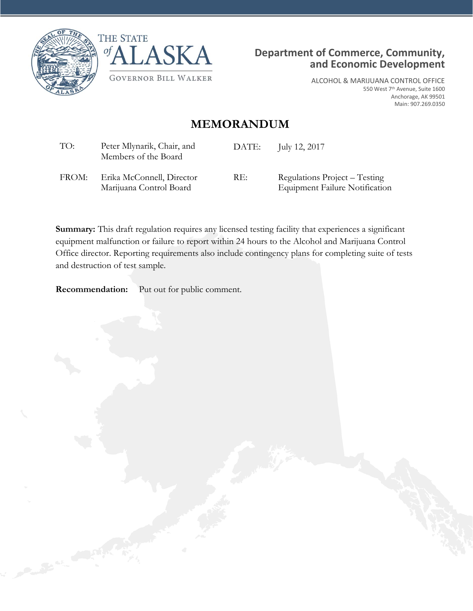





ALCOHOL & MARIJUANA CONTROL OFFICE 550 West 7th Avenue, Suite 1600 Anchorage, AK 99501 Main: 907.269.0350

## **MEMORANDUM**

| TO:   | Peter Mlynarik, Chair, and<br>Members of the Board   | DATE: | July 12, 2017                                                          |
|-------|------------------------------------------------------|-------|------------------------------------------------------------------------|
| FROM: | Erika McConnell, Director<br>Marijuana Control Board | RE:   | Regulations Project – Testing<br><b>Equipment Failure Notification</b> |

**Summary:** This draft regulation requires any licensed testing facility that experiences a significant equipment malfunction or failure to report within 24 hours to the Alcohol and Marijuana Control Office director. Reporting requirements also include contingency plans for completing suite of tests and destruction of test sample.

**Recommendation:** Put out for public comment.